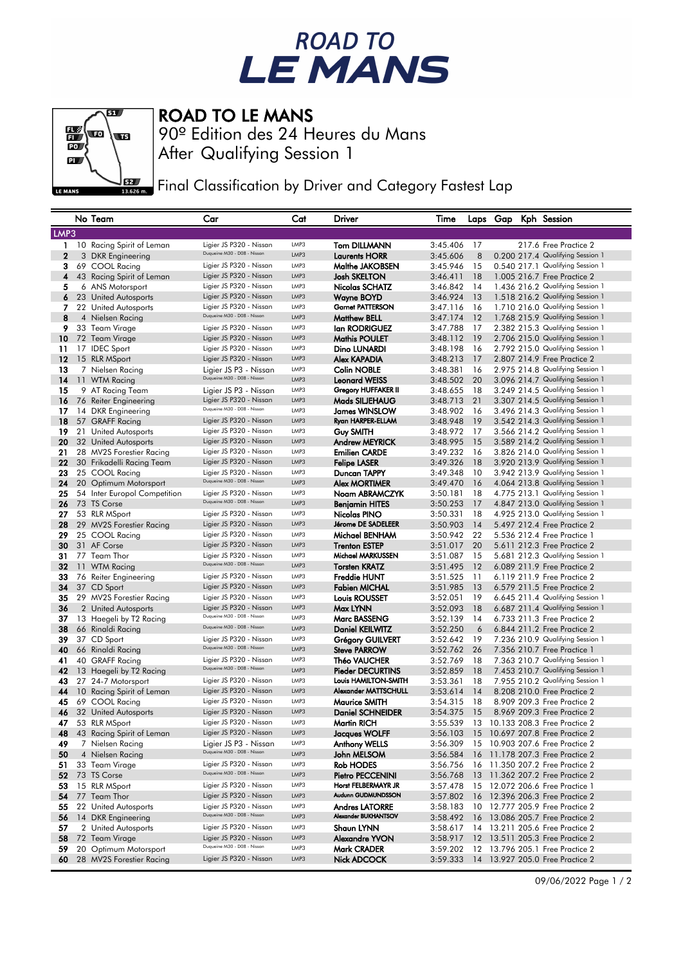## ROAD TO<br>LE MANS



## ROAD TO LE MANS

After Qualifying Session 1 90º Edition des 24 Heures du Mans

Final Classification by Driver and Category Fastest Lap

|                | No Team                      | Car                                                    | Cat  | Driver                  | Time                 |    | Laps Gap | Kph Session                                                          |
|----------------|------------------------------|--------------------------------------------------------|------|-------------------------|----------------------|----|----------|----------------------------------------------------------------------|
| LMP3           |                              |                                                        |      |                         |                      |    |          |                                                                      |
| $\mathbf{1}$   |                              | Ligier JS P320 - Nissan                                | LMP3 | <b>Tom DILLMANN</b>     | 3:45.406             | 17 |          | 217.6 Free Practice 2                                                |
| $\overline{2}$ | 10 Racing Spirit of Leman    | Duqueine M30 - D08 - Nissan                            | LMP3 | <b>Laurents HORR</b>    |                      | 8  |          |                                                                      |
| 3              | 3 DKR Engineering            | Ligier JS P320 - Nissan                                | LMP3 | Malthe JAKOBSEN         | 3:45.606<br>3:45.946 | 15 |          | 0.200 217.4 Qualifying Session 1<br>0.540 217.1 Qualifying Session 1 |
|                | 69 COOL Racing               | Ligier JS P320 - Nissan                                | LMP3 |                         | 3:46.411             |    |          | 1.005 216.7 Free Practice 2                                          |
| 4              | 43 Racing Spirit of Leman    | Ligier JS P320 - Nissan                                | LMP3 | Josh SKELTON            |                      | 18 |          |                                                                      |
| 5              | 6 ANS Motorsport             |                                                        |      | Nicolas SCHATZ          | 3:46.842             | 14 |          | 1.436 216.2 Qualifying Session 1                                     |
| 6              | 23 United Autosports         | Ligier JS P320 - Nissan                                | LMP3 | Wayne BOYD              | 3:46.924             | 13 |          | 1.518 216.2 Qualifying Session 1                                     |
| 7              | 22 United Autosports         | Ligier JS P320 - Nissan<br>Duqueine M30 - D08 - Nissan | LMP3 | <b>Garnet PATTERSON</b> | 3:47.116             | 16 |          | 1.710 216.0 Qualifying Session 1                                     |
| 8              | 4 Nielsen Racing             |                                                        | LMP3 | <b>Matthew BELL</b>     | 3:47.174             | 12 |          | 1.768 215.9 Qualifying Session 1                                     |
| 9              | 33 Team Virage               | Ligier JS P320 - Nissan                                | LMP3 | lan RODRIGUEZ           | 3:47.788             | 17 |          | 2.382 215.3 Qualifying Session 1                                     |
| 10             | 72 Team Virage               | Ligier JS P320 - Nissan                                | LMP3 | <b>Mathis POULET</b>    | 3:48.112             | 19 |          | 2.706 215.0 Qualifying Session 1                                     |
| 11             | 17 IDEC Sport                | Ligier JS P320 - Nissan                                | LMP3 | Dino LUNARDI            | 3:48.198             | 16 |          | 2.792 215.0 Qualifying Session 1                                     |
| 12             | 15 RLR MSport                | Ligier JS P320 - Nissan                                | LMP3 | Alex KAPADIA            | 3:48.213             | 17 |          | 2.807 214.9 Free Practice 2                                          |
| 13             | 7 Nielsen Racing             | Ligier JS P3 - Nissan                                  | LMP3 | Colin NOBLE             | 3:48.381             | 16 |          | 2.975 214.8 Qualifying Session 1                                     |
| 14             | 11 WTM Racing                | Duqueine M30 - D08 - Nissan                            | LMP3 | Leonard WEISS           | 3:48.502             | 20 |          | 3.096 214.7 Qualifying Session 1                                     |
| 15             | 9 AT Racing Team             | Ligier JS P3 - Nissan                                  | LMP3 | Gregory HUFFAKER II     | 3:48.655             | 18 |          | 3.249 214.5 Qualifying Session 1                                     |
| 16             | 76 Reiter Engineering        | Ligier JS P320 - Nissan                                | LMP3 | Mads SILJEHAUG          | 3:48.713             | 21 |          | 3.307 214.5 Qualifying Session 1                                     |
| 17             | 14 DKR Engineering           | Duqueine M30 - D08 - Nissan                            | LMP3 | James WINSLOW           | 3:48.902             | 16 |          | 3.496 214.3 Qualifying Session 1                                     |
| 18             | 57 GRAFF Racing              | Ligier JS P320 - Nissan                                | LMP3 | Ryan HARPER-ELLAM       | 3:48.948             | 19 |          | 3.542 214.3 Qualifying Session 1                                     |
| 19             | 21 United Autosports         | Ligier JS P320 - Nissan                                | LMP3 | Guy SMITH               | 3:48.972             | 17 |          | 3.566 214.2 Qualifying Session 1                                     |
| 20             | 32 United Autosports         | Ligier JS P320 - Nissan                                | LMP3 | Andrew MEYRICK          | 3:48.995             | 15 |          | 3.589 214.2 Qualifying Session 1                                     |
| 21             | 28 MV2S Forestier Racing     | Ligier JS P320 - Nissan                                | LMP3 | <b>Emilien CARDE</b>    | 3:49.232             | 16 |          | 3.826 214.0 Qualifying Session 1                                     |
| 22             | 30 Frikadelli Racing Team    | Ligier JS P320 - Nissan                                | LMP3 | Felipe LASER            | 3:49.326             | 18 |          | 3.920 213.9 Qualifying Session 1                                     |
| 23             | 25 COOL Racing               | Ligier JS P320 - Nissan                                | LMP3 | Duncan TAPPY            | 3:49.348             | 10 |          | 3.942 213.9 Qualifying Session 1                                     |
| 24             | 20 Optimum Motorsport        | Duqueine M30 - D08 - Nissan                            | LMP3 | Alex MORTIMER           | 3:49.470             | 16 |          | 4.064 213.8 Qualifying Session 1                                     |
| 25             | 54 Inter Europol Competition | Ligier JS P320 - Nissan                                | LMP3 | Noam ABRAMCZYK          | 3:50.181             | 18 |          | 4.775 213.1 Qualifying Session 1                                     |
| 26             | 73 TS Corse                  | Duqueine M30 - D08 - Nissan                            | LMP3 | <b>Benjamin HITES</b>   | 3:50.253             | 17 |          | 4.847 213.0 Qualifying Session 1                                     |
| 27             | 53 RLR MSport                | Ligier JS P320 - Nissan                                | LMP3 | <b>Nicolas PINO</b>     | 3:50.331             | 18 |          | 4.925 213.0 Qualifying Session 1                                     |
| 28             | 29 MV2S Forestier Racing     | Ligier JS P320 - Nissan                                | LMP3 | Jérome DE SADELEER      | 3:50.903             | 14 |          | 5.497 212.4 Free Practice 2                                          |
| 29             | 25 COOL Racing               | Ligier JS P320 - Nissan                                | LMP3 | Michael BENHAM          | 3:50.942             | 22 |          | 5.536 212.4 Free Practice 1                                          |
| 30             | 31 AF Corse                  | Ligier JS P320 - Nissan                                | LMP3 | <b>Trenton ESTEP</b>    | 3:51.017             | 20 |          | 5.611 212.3 Free Practice 2                                          |
| 31             | 77 Team Thor                 | Ligier JS P320 - Nissan                                | LMP3 | Michael MARKUSSEN       | 3:51.087             | 15 |          | 5.681 212.3 Qualifying Session 1                                     |
| 32             | 11 WTM Racing                | Duqueine M30 - D08 - Nissan                            | LMP3 | <b>Torsten KRATZ</b>    | 3:51.495             | 12 |          | 6.089 211.9 Free Practice 2                                          |
| 33             | 76 Reiter Engineering        | Ligier JS P320 - Nissan                                | LMP3 | <b>Freddie HUNT</b>     | 3:51.525             | 11 |          | 6.119 211.9 Free Practice 2                                          |
| 34             | 37 CD Sport                  | Ligier JS P320 - Nissan                                | LMP3 | Fabien MICHAL           | 3:51.985             | 13 |          | 6.579 211.5 Free Practice 2                                          |
| 35             | 29 MV2S Forestier Racing     | Ligier JS P320 - Nissan                                | LMP3 | <b>Louis ROUSSET</b>    | 3:52.051             | 19 |          | 6.645 211.4 Qualifying Session 1                                     |
| 36             | 2 United Autosports          | Ligier JS P320 - Nissan                                | LMP3 | Max LYNN                | 3:52.093             | 18 |          | 6.687 211.4 Qualifying Session 1                                     |
| 37             | 13 Haegeli by T2 Racing      | Duqueine M30 - D08 - Nissan                            | LMP3 | <b>Marc BASSENG</b>     | 3:52.139             | 14 |          | 6.733 211.3 Free Practice 2                                          |
| 38             | 66 Rinaldi Racing            | Duqueine M30 - D08 - Nissan                            | LMP3 | <b>Daniel KEILWITZ</b>  | 3:52.250             | 6  |          | 6.844 211.2 Free Practice 2                                          |
| 39             | 37 CD Sport                  | Ligier JS P320 - Nissan                                | LMP3 | Grégory GUILVERT        | 3:52.642             | 19 |          | 7.236 210.9 Qualifying Session 1                                     |
| 40             | 66 Rinaldi Racing            | Duqueine M30 - D08 - Nissan                            | LMP3 | <b>Steve PARROW</b>     | 3:52.762             | 26 |          | 7.356 210.7 Free Practice 1                                          |
| 41             | 40 GRAFF Racing              | Ligier JS P320 - Nissan                                | LMP3 | Théo VAUCHER            | 3:52.769             | 18 |          | 7.363 210.7 Qualifying Session 1                                     |
| 42             | 13 Haegeli by T2 Racing      | Duqueine M30 - D08 - Nissan                            | LMP3 | Pieder DECURTINS        | 3:52.859             | 18 |          | 7.453 210.7 Qualifying Session 1                                     |
| 43             | 27 24-7 Motorsport           | Ligier JS P320 - Nissan                                | LMP3 | Louis HAMILTON-SMITH    | 3:53.361             | 18 |          | 7.955 210.2 Qualifying Session 1                                     |
| 44             | 10 Racing Spirit of Leman    | Ligier JS P320 - Nissan                                | LMP3 | Alexander MATTSCHULL    | 3:53.614             | 14 |          | 8.208 210.0 Free Practice 2                                          |
| 45             | 69 COOL Racing               | Ligier JS P320 - Nissan                                | LMP3 | <b>Maurice SMITH</b>    | 3:54.315             | 18 |          | 8.909 209.3 Free Practice 2                                          |
| 46             | 32 United Autosports         | Ligier JS P320 - Nissan                                | LMP3 | <b>Daniel SCHNEIDER</b> | 3:54.375             | 15 |          | 8.969 209.3 Free Practice 2                                          |
| 47             | 53 RLR MSport                | Ligier JS P320 - Nissan                                | LMP3 | <b>Martin RICH</b>      | 3:55.539             | 13 |          | 10.133 208.3 Free Practice 2                                         |
| 48             | 43 Racing Spirit of Leman    | Ligier JS P320 - Nissan                                | LMP3 | Jacques WOLFF           | 3:56.103             | 15 |          | 10.697 207.8 Free Practice 2                                         |
| 49             | 7 Nielsen Racing             | Ligier JS P3 - Nissan                                  | LMP3 | <b>Anthony WELLS</b>    | 3:56.309             |    |          | 15 10.903 207.6 Free Practice 2                                      |
| 50             | 4 Nielsen Racing             | Duqueine M30 - D08 - Nissan                            | LMP3 | John MELSOM             | 3:56.584             |    |          | 16 11.178 207.3 Free Practice 2                                      |
| 51             | 33 Team Virage               | Ligier JS P320 - Nissan                                | LMP3 | Rob HODES               | 3:56.756             |    |          | 16 11.350 207.2 Free Practice 2                                      |
| 52             | 73 TS Corse                  | Duqueine M30 - D08 - Nissan                            | LMP3 | Pietro PECCENINI        | 3:56.768             |    |          | 13 11.362 207.2 Free Practice 2                                      |
| 53             | 15 RLR MSport                | Ligier JS P320 - Nissan                                | LMP3 | Horst FELBERMAYR JR     | 3:57.478             |    |          | 15 12.072 206.6 Free Practice 1                                      |
| 54             | 77 Team Thor                 | Ligier JS P320 - Nissan                                | LMP3 | Audunn GUDMUNDSSON      | 3:57.802             |    |          | 16 12.396 206.3 Free Practice 2                                      |
| 55             | 22 United Autosports         | Ligier JS P320 - Nissan                                | LMP3 | Andres LATORRE          | 3:58.183             |    |          | 10 12.777 205.9 Free Practice 2                                      |
| 56             | 14 DKR Engineering           | Duqueine M30 - D08 - Nissan                            | LMP3 | Alexander BUKHANTSOV    | 3:58.492             |    |          | 16 13.086 205.7 Free Practice 2                                      |
| 57             | 2 United Autosports          | Ligier JS P320 - Nissan                                | LMP3 | <b>Shaun LYNN</b>       | 3:58.617             |    |          | 14 13.211 205.6 Free Practice 2                                      |
| 58             | 72 Team Virage               | Ligier JS P320 - Nissan                                | LMP3 | Alexandre YVON          | 3:58.917             |    |          | 12 13.511 205.3 Free Practice 2                                      |
| 59             | 20 Optimum Motorsport        | Duqueine M30 - D08 - Nissan                            | LMP3 | Mark CRADER             | 3:59.202             |    |          | 12 13.796 205.1 Free Practice 2                                      |
| 60             | 28 MV2S Forestier Racing     | Ligier JS P320 - Nissan                                | LMP3 | Nick ADCOCK             | 3:59.333             |    |          | 14 13.927 205.0 Free Practice 2                                      |
|                |                              |                                                        |      |                         |                      |    |          |                                                                      |

09/06/2022 Page 1 / 2